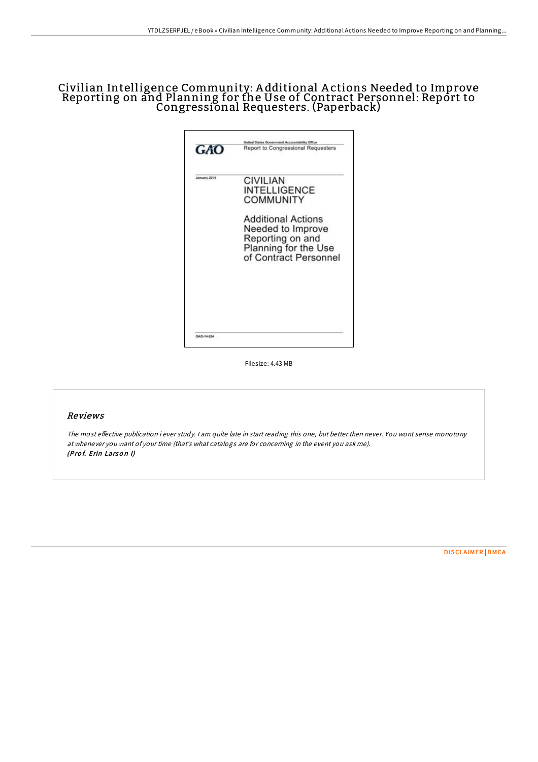## Civilian Intelligence Community: A dditional A ctions Needed to Improve Reporting on and Planning for the Use of Contract Personnel: Report to Congressional Requesters. (Paperback)

| GAO          | United States Government Accountability Office<br>Report to Congressional Requesters                                |
|--------------|---------------------------------------------------------------------------------------------------------------------|
| January 2014 | <b>CIVILIAN</b><br><b>INTELLIGENCE</b><br>COMMUNITY                                                                 |
|              | <b>Additional Actions</b><br>Needed to Improve<br>Reporting on and<br>Planning for the Use<br>of Contract Personnel |
| GAO-14-204   |                                                                                                                     |

Filesize: 4.43 MB

## Reviews

The most effective publication i ever study. I am quite late in start reading this one, but better then never. You wont sense monotony at whenever you want of your time (that's what catalogs are for concerning in the event you ask me). (Prof. Erin Larson I)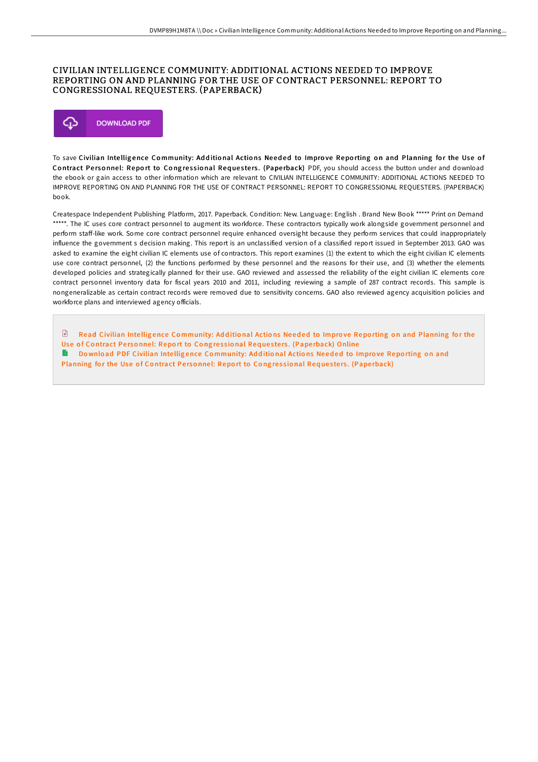## CIVILIAN INTELLIGENCE COMMUNITY: ADDITIONAL ACTIONS NEEDED TO IMPROVE REPORTING ON AND PLANNING FOR THE USE OF CONTRACT PERSONNEL: REPORT TO CONGRESSIONAL REQUESTERS. (PAPERBACK)



To save Civilian Intelligence Community: Additional Actions Needed to Improve Reporting on and Planning for the Use of Contract Personnel: Report to Congressional Requesters. (Paperback) PDF, you should access the button under and download the ebook or gain access to other information which are relevant to CIVILIAN INTELLIGENCE COMMUNITY: ADDITIONAL ACTIONS NEEDED TO IMPROVE REPORTING ON AND PLANNING FOR THE USE OF CONTRACT PERSONNEL: REPORT TO CONGRESSIONAL REQUESTERS. (PAPERBACK) book.

Createspace Independent Publishing Platform, 2017. Paperback. Condition: New. Language: English . Brand New Book \*\*\*\*\* Print on Demand \*\*\*\*\*. The IC uses core contract personnel to augment its workforce. These contractors typically work alongside government personnel and perform staff-like work. Some core contract personnel require enhanced oversight because they perform services that could inappropriately influence the government s decision making. This report is an unclassified version of a classified report issued in September 2013. GAO was asked to examine the eight civilian IC elements use of contractors. This report examines (1) the extent to which the eight civilian IC elements use core contract personnel, (2) the functions performed by these personnel and the reasons for their use, and (3) whether the elements developed policies and strategically planned for their use. GAO reviewed and assessed the reliability of the eight civilian IC elements core contract personnel inventory data for fiscal years 2010 and 2011, including reviewing a sample of 287 contract records. This sample is nongeneralizable as certain contract records were removed due to sensitivity concerns. GAO also reviewed agency acquisition policies and workforce plans and interviewed agency officials.

 $\mathbb{R}$ Read Civilian Intelligence Co[mmunity:](http://almighty24.tech/civilian-intelligence-community-additional-actio.html) Additional Actions Needed to Improve Reporting on and Planning for the Use of Contract Personnel: Report to Congressional Requesters. (Paperback) Online Download PDF Civilian Intelligence Co[mmunity:](http://almighty24.tech/civilian-intelligence-community-additional-actio.html) Additional Actions Needed to Improve Reporting on and Planning for the Use of Contract Personnel: Report to Congressional Requesters. (Paperback)